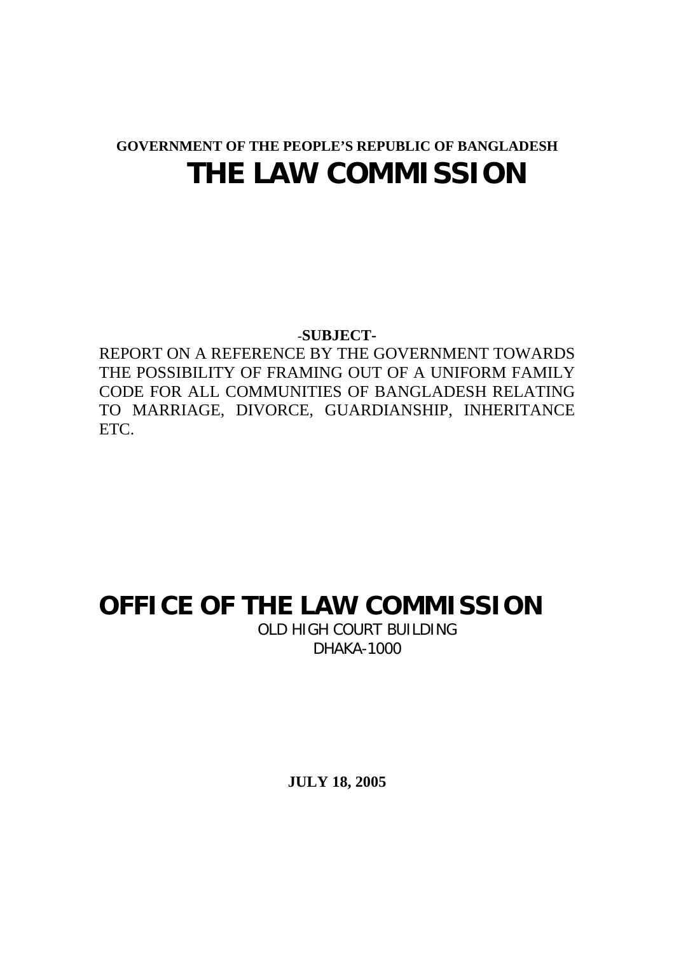## **GOVERNMENT OF THE PEOPLE'S REPUBLIC OF BANGLADESH THE LAW COMMISSION**

-**SUBJECT-**

REPORT ON A REFERENCE BY THE GOVERNMENT TOWARDS THE POSSIBILITY OF FRAMING OUT OF A UNIFORM FAMILY CODE FOR ALL COMMUNITIES OF BANGLADESH RELATING TO MARRIAGE, DIVORCE, GUARDIANSHIP, INHERITANCE ETC.

## **OFFICE OF THE LAW COMMISSION**

OLD HIGH COURT BUILDING DHAKA-1000

**JULY 18, 2005**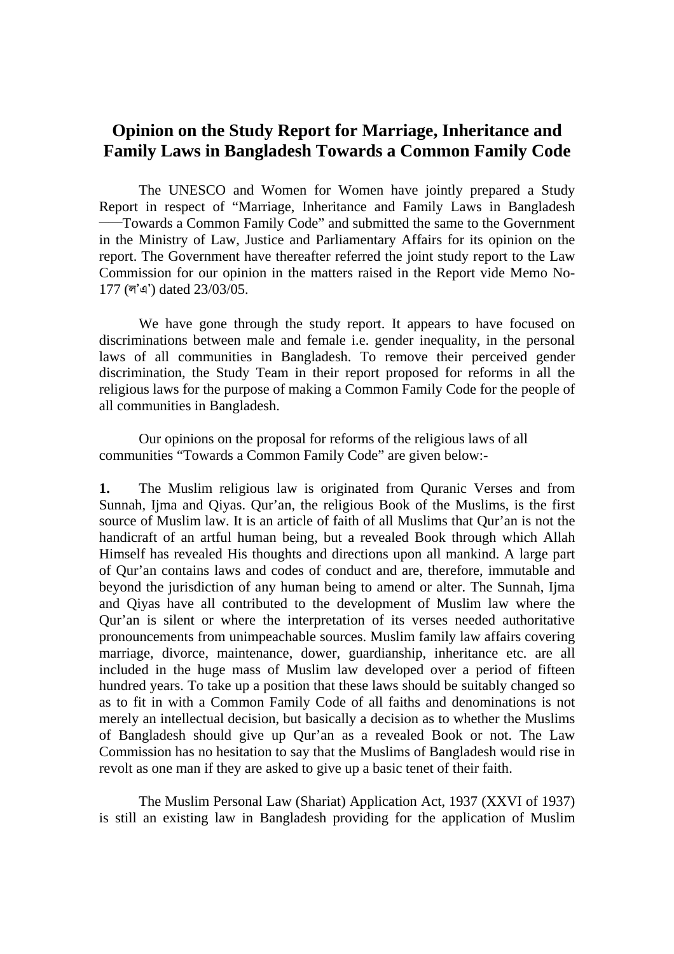## **Opinion on the Study Report for Marriage, Inheritance and Family Laws in Bangladesh Towards a Common Family Code**

The UNESCO and Women for Women have jointly prepared a Study Report in respect of "Marriage, Inheritance and Family Laws in Bangladesh — Towards a Common Family Code" and submitted the same to the Government in the Ministry of Law, Justice and Parliamentary Affairs for its opinion on the report. The Government have thereafter referred the joint study report to the Law Commission for our opinion in the matters raised in the Report vide Memo No-177 ( $\vec{q}$ ) dated 23/03/05.

We have gone through the study report. It appears to have focused on discriminations between male and female i.e. gender inequality, in the personal laws of all communities in Bangladesh. To remove their perceived gender discrimination, the Study Team in their report proposed for reforms in all the religious laws for the purpose of making a Common Family Code for the people of all communities in Bangladesh.

Our opinions on the proposal for reforms of the religious laws of all communities "Towards a Common Family Code" are given below:-

**1.** The Muslim religious law is originated from Quranic Verses and from Sunnah, Ijma and Qiyas. Qur'an, the religious Book of the Muslims, is the first source of Muslim law. It is an article of faith of all Muslims that Qur'an is not the handicraft of an artful human being, but a revealed Book through which Allah Himself has revealed His thoughts and directions upon all mankind. A large part of Qur'an contains laws and codes of conduct and are, therefore, immutable and beyond the jurisdiction of any human being to amend or alter. The Sunnah, Ijma and Qiyas have all contributed to the development of Muslim law where the Qur'an is silent or where the interpretation of its verses needed authoritative pronouncements from unimpeachable sources. Muslim family law affairs covering marriage, divorce, maintenance, dower, guardianship, inheritance etc. are all included in the huge mass of Muslim law developed over a period of fifteen hundred years. To take up a position that these laws should be suitably changed so as to fit in with a Common Family Code of all faiths and denominations is not merely an intellectual decision, but basically a decision as to whether the Muslims of Bangladesh should give up Qur'an as a revealed Book or not. The Law Commission has no hesitation to say that the Muslims of Bangladesh would rise in revolt as one man if they are asked to give up a basic tenet of their faith.

The Muslim Personal Law (Shariat) Application Act, 1937 (XXVI of 1937) is still an existing law in Bangladesh providing for the application of Muslim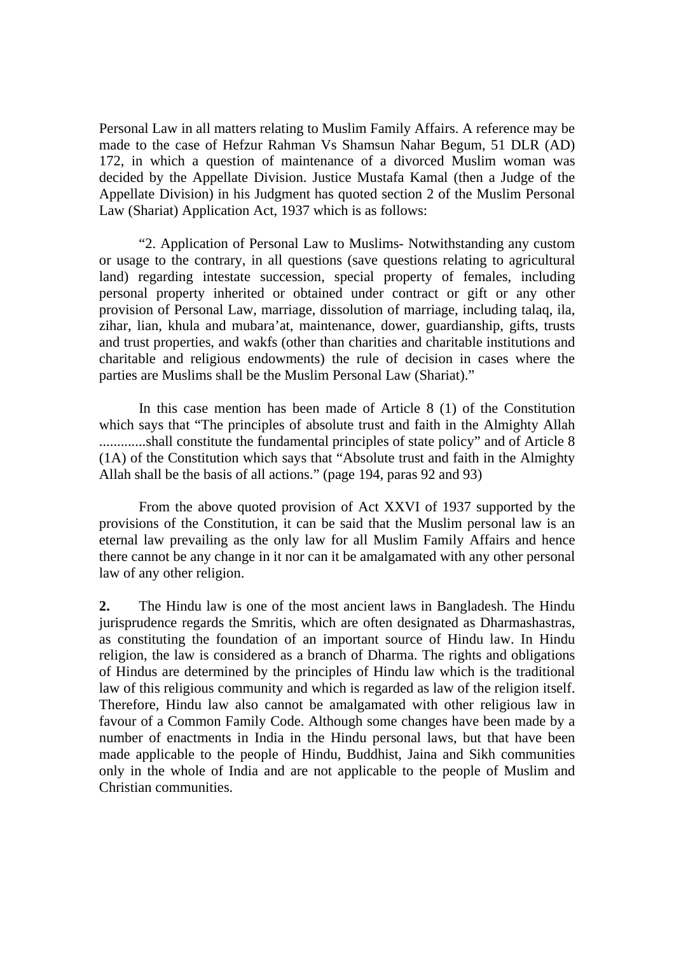Personal Law in all matters relating to Muslim Family Affairs. A reference may be made to the case of Hefzur Rahman Vs Shamsun Nahar Begum, 51 DLR (AD) 172, in which a question of maintenance of a divorced Muslim woman was decided by the Appellate Division. Justice Mustafa Kamal (then a Judge of the Appellate Division) in his Judgment has quoted section 2 of the Muslim Personal Law (Shariat) Application Act, 1937 which is as follows:

"2. Application of Personal Law to Muslims- Notwithstanding any custom or usage to the contrary, in all questions (save questions relating to agricultural land) regarding intestate succession, special property of females, including personal property inherited or obtained under contract or gift or any other provision of Personal Law, marriage, dissolution of marriage, including talaq, ila, zihar, lian, khula and mubara'at, maintenance, dower, guardianship, gifts, trusts and trust properties, and wakfs (other than charities and charitable institutions and charitable and religious endowments) the rule of decision in cases where the parties are Muslims shall be the Muslim Personal Law (Shariat)."

 In this case mention has been made of Article 8 (1) of the Constitution which says that "The principles of absolute trust and faith in the Almighty Allah .............shall constitute the fundamental principles of state policy" and of Article 8 (1A) of the Constitution which says that "Absolute trust and faith in the Almighty Allah shall be the basis of all actions." (page 194, paras 92 and 93)

 From the above quoted provision of Act XXVI of 1937 supported by the provisions of the Constitution, it can be said that the Muslim personal law is an eternal law prevailing as the only law for all Muslim Family Affairs and hence there cannot be any change in it nor can it be amalgamated with any other personal law of any other religion.

**2.** The Hindu law is one of the most ancient laws in Bangladesh. The Hindu jurisprudence regards the Smritis, which are often designated as Dharmashastras, as constituting the foundation of an important source of Hindu law. In Hindu religion, the law is considered as a branch of Dharma. The rights and obligations of Hindus are determined by the principles of Hindu law which is the traditional law of this religious community and which is regarded as law of the religion itself. Therefore, Hindu law also cannot be amalgamated with other religious law in favour of a Common Family Code. Although some changes have been made by a number of enactments in India in the Hindu personal laws, but that have been made applicable to the people of Hindu, Buddhist, Jaina and Sikh communities only in the whole of India and are not applicable to the people of Muslim and Christian communities.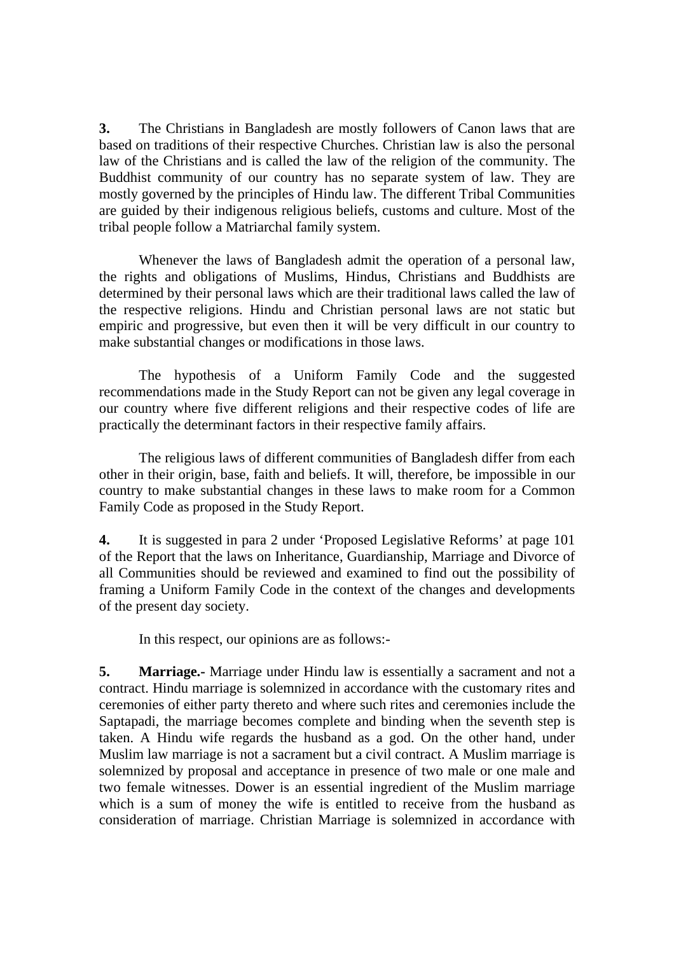**3.** The Christians in Bangladesh are mostly followers of Canon laws that are based on traditions of their respective Churches. Christian law is also the personal law of the Christians and is called the law of the religion of the community. The Buddhist community of our country has no separate system of law. They are mostly governed by the principles of Hindu law. The different Tribal Communities are guided by their indigenous religious beliefs, customs and culture. Most of the tribal people follow a Matriarchal family system.

 Whenever the laws of Bangladesh admit the operation of a personal law, the rights and obligations of Muslims, Hindus, Christians and Buddhists are determined by their personal laws which are their traditional laws called the law of the respective religions. Hindu and Christian personal laws are not static but empiric and progressive, but even then it will be very difficult in our country to make substantial changes or modifications in those laws.

 The hypothesis of a Uniform Family Code and the suggested recommendations made in the Study Report can not be given any legal coverage in our country where five different religions and their respective codes of life are practically the determinant factors in their respective family affairs.

 The religious laws of different communities of Bangladesh differ from each other in their origin, base, faith and beliefs. It will, therefore, be impossible in our country to make substantial changes in these laws to make room for a Common Family Code as proposed in the Study Report.

**4.** It is suggested in para 2 under 'Proposed Legislative Reforms' at page 101 of the Report that the laws on Inheritance, Guardianship, Marriage and Divorce of all Communities should be reviewed and examined to find out the possibility of framing a Uniform Family Code in the context of the changes and developments of the present day society.

In this respect, our opinions are as follows:-

**5. Marriage.-** Marriage under Hindu law is essentially a sacrament and not a contract. Hindu marriage is solemnized in accordance with the customary rites and ceremonies of either party thereto and where such rites and ceremonies include the Saptapadi, the marriage becomes complete and binding when the seventh step is taken. A Hindu wife regards the husband as a god. On the other hand, under Muslim law marriage is not a sacrament but a civil contract. A Muslim marriage is solemnized by proposal and acceptance in presence of two male or one male and two female witnesses. Dower is an essential ingredient of the Muslim marriage which is a sum of money the wife is entitled to receive from the husband as consideration of marriage. Christian Marriage is solemnized in accordance with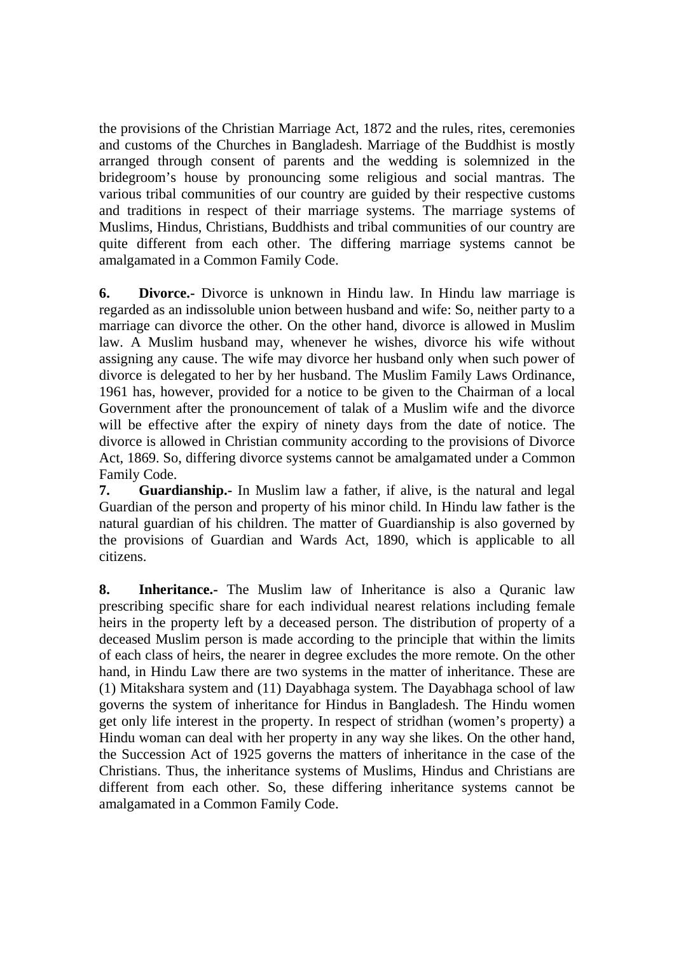the provisions of the Christian Marriage Act, 1872 and the rules, rites, ceremonies and customs of the Churches in Bangladesh. Marriage of the Buddhist is mostly arranged through consent of parents and the wedding is solemnized in the bridegroom's house by pronouncing some religious and social mantras. The various tribal communities of our country are guided by their respective customs and traditions in respect of their marriage systems. The marriage systems of Muslims, Hindus, Christians, Buddhists and tribal communities of our country are quite different from each other. The differing marriage systems cannot be amalgamated in a Common Family Code.

**6. Divorce.-** Divorce is unknown in Hindu law. In Hindu law marriage is regarded as an indissoluble union between husband and wife: So, neither party to a marriage can divorce the other. On the other hand, divorce is allowed in Muslim law. A Muslim husband may, whenever he wishes, divorce his wife without assigning any cause. The wife may divorce her husband only when such power of divorce is delegated to her by her husband. The Muslim Family Laws Ordinance, 1961 has, however, provided for a notice to be given to the Chairman of a local Government after the pronouncement of talak of a Muslim wife and the divorce will be effective after the expiry of ninety days from the date of notice. The divorce is allowed in Christian community according to the provisions of Divorce Act, 1869. So, differing divorce systems cannot be amalgamated under a Common Family Code.

**7. Guardianship.-** In Muslim law a father, if alive, is the natural and legal Guardian of the person and property of his minor child. In Hindu law father is the natural guardian of his children. The matter of Guardianship is also governed by the provisions of Guardian and Wards Act, 1890, which is applicable to all citizens.

**8. Inheritance.-** The Muslim law of Inheritance is also a Quranic law prescribing specific share for each individual nearest relations including female heirs in the property left by a deceased person. The distribution of property of a deceased Muslim person is made according to the principle that within the limits of each class of heirs, the nearer in degree excludes the more remote. On the other hand, in Hindu Law there are two systems in the matter of inheritance. These are (1) Mitakshara system and (11) Dayabhaga system. The Dayabhaga school of law governs the system of inheritance for Hindus in Bangladesh. The Hindu women get only life interest in the property. In respect of stridhan (women's property) a Hindu woman can deal with her property in any way she likes. On the other hand, the Succession Act of 1925 governs the matters of inheritance in the case of the Christians. Thus, the inheritance systems of Muslims, Hindus and Christians are different from each other. So, these differing inheritance systems cannot be amalgamated in a Common Family Code.